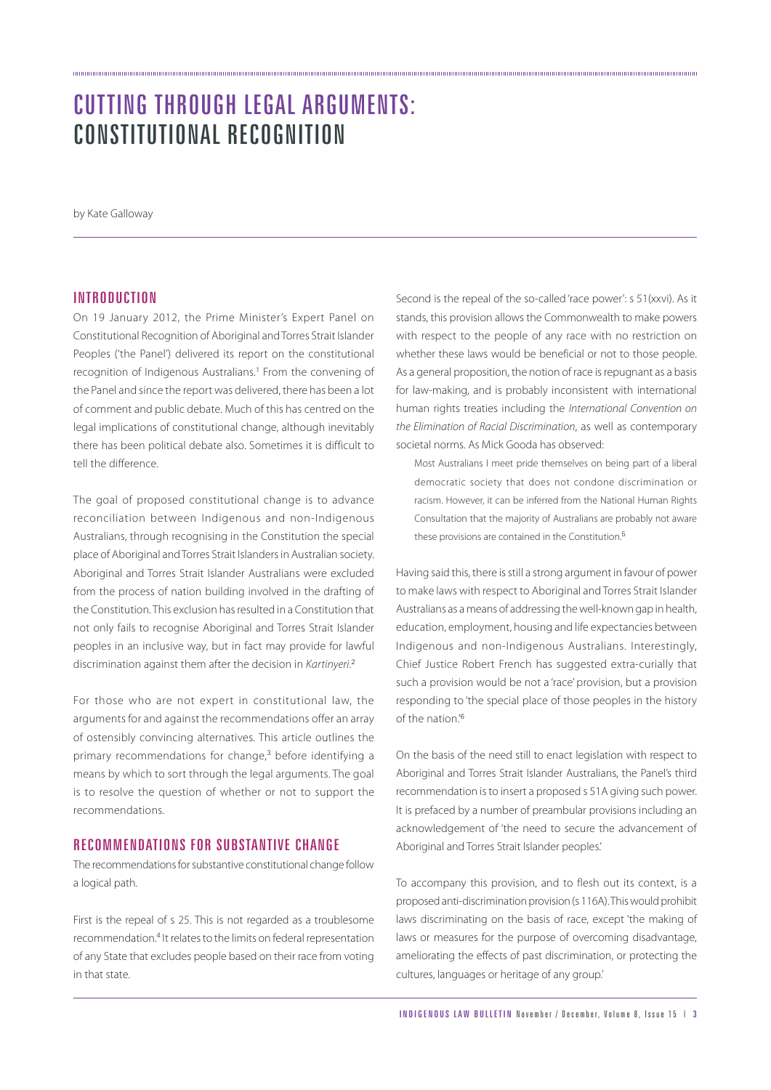# CUTTING THROUGH LEGAL ARGUMENTS: CONSTITUTIONAL RECOGNITION

by Kate Galloway

### **INTRODUCTION**

On 19 January 2012, the Prime Minister's Expert Panel on Constitutional Recognition of Aboriginal and Torres Strait Islander Peoples ('the Panel') delivered its report on the constitutional recognition of Indigenous Australians.<sup>1</sup> From the convening of the Panel and since the report was delivered, there has been a lot of comment and public debate. Much of this has centred on the legal implications of constitutional change, although inevitably there has been political debate also. Sometimes it is difficult to tell the difference.

The goal of proposed constitutional change is to advance reconciliation between Indigenous and non-Indigenous Australians, through recognising in the Constitution the special place of Aboriginal and Torres Strait Islanders in Australian society. Aboriginal and Torres Strait Islander Australians were excluded from the process of nation building involved in the drafting of the Constitution. This exclusion has resulted in a Constitution that not only fails to recognise Aboriginal and Torres Strait Islander peoples in an inclusive way, but in fact may provide for lawful discrimination against them after the decision in Kartinyeri.<sup>2</sup>

For those who are not expert in constitutional law, the arguments for and against the recommendations offer an array of ostensibly convincing alternatives. This article outlines the primary recommendations for change,<sup>3</sup> before identifying a means by which to sort through the legal arguments. The goal is to resolve the question of whether or not to support the recommendations.

## RECOMMENDATIONS FOR SUBSTANTIVE CHANGE

The recommendations for substantive constitutional change follow a logical path.

First is the repeal of s 25. This is not regarded as a troublesome recommendation.<sup>4</sup> It relates to the limits on federal representation of any State that excludes people based on their race from voting in that state.

Second is the repeal of the so-called 'race power': s 51(xxvi). As it stands, this provision allows the Commonwealth to make powers with respect to the people of any race with no restriction on whether these laws would be beneficial or not to those people. As a general proposition, the notion of race is repugnant as a basis for law-making, and is probably inconsistent with international human rights treaties including the International Convention on the Elimination of Racial Discrimination, as well as contemporary societal norms. As Mick Gooda has observed:

Most Australians I meet pride themselves on being part of a liberal democratic society that does not condone discrimination or racism. However, it can be inferred from the National Human Rights Consultation that the majority of Australians are probably not aware these provisions are contained in the Constitution.<sup>5</sup>

Having said this, there is still a strong argument in favour of power to make laws with respect to Aboriginal and Torres Strait Islander Australians as a means of addressing the well-known gap in health, education, employment, housing and life expectancies between Indigenous and non-Indigenous Australians. Interestingly, Chief Justice Robert French has suggested extra-curially that such a provision would be not a 'race' provision, but a provision responding to 'the special place of those peoples in the history of the nation.'<sup>6</sup>

On the basis of the need still to enact legislation with respect to Aboriginal and Torres Strait Islander Australians, the Panel's third recommendation is to insert a proposed s 51A giving such power. It is prefaced by a number of preambular provisions including an acknowledgement of 'the need to secure the advancement of Aboriginal and Torres Strait Islander peoples.'

To accompany this provision, and to flesh out its context, is a proposed anti-discrimination provision (s 116A). This would prohibit laws discriminating on the basis of race, except 'the making of laws or measures for the purpose of overcoming disadvantage, ameliorating the effects of past discrimination, or protecting the cultures, languages or heritage of any group.'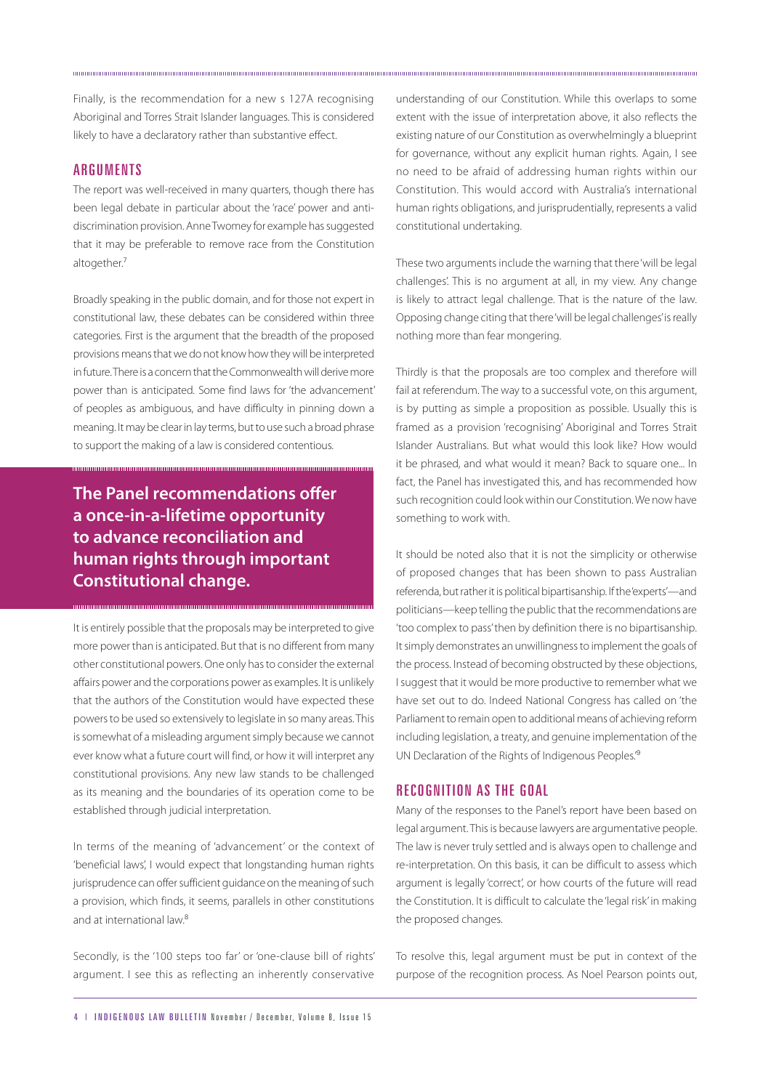Finally, is the recommendation for a new s 127A recognising Aboriginal and Torres Strait Islander languages. This is considered likely to have a declaratory rather than substantive effect.

#### **ARGUMENTS**

The report was well-received in many quarters, though there has been legal debate in particular about the 'race' power and antidiscrimination provision. Anne Twomey for example has suggested that it may be preferable to remove race from the Constitution altogether.<sup>7</sup>

Broadly speaking in the public domain, and for those not expert in constitutional law, these debates can be considered within three categories. First is the argument that the breadth of the proposed provisions means that we do not know how they will be interpreted in future. There is a concern that the Commonwealth will derive more power than is anticipated. Some find laws for 'the advancement' of peoples as ambiguous, and have difficulty in pinning down a meaning. It may be clear in lay terms, but to use such a broad phrase to support the making of a law is considered contentious.

**The Panel recommendations offer a once-in-a-lifetime opportunity to advance reconciliation and human rights through important Constitutional change.**

It is entirely possible that the proposals may be interpreted to give more power than is anticipated. But that is no different from many other constitutional powers. One only has to consider the external affairs power and the corporations power as examples. It is unlikely that the authors of the Constitution would have expected these powers to be used so extensively to legislate in so many areas. This is somewhat of a misleading argument simply because we cannot ever know what a future court will find, or how it will interpret any constitutional provisions. Any new law stands to be challenged as its meaning and the boundaries of its operation come to be established through judicial interpretation.

In terms of the meaning of 'advancement' or the context of 'beneficial laws', I would expect that longstanding human rights jurisprudence can offer sufficient guidance on the meaning of such a provision, which finds, it seems, parallels in other constitutions and at international law.<sup>8</sup>

Secondly, is the '100 steps too far' or 'one-clause bill of rights' argument. I see this as reflecting an inherently conservative understanding of our Constitution. While this overlaps to some extent with the issue of interpretation above, it also reflects the existing nature of our Constitution as overwhelmingly a blueprint for governance, without any explicit human rights. Again, I see no need to be afraid of addressing human rights within our Constitution. This would accord with Australia's international human rights obligations, and jurisprudentially, represents a valid constitutional undertaking.

These two arguments include the warning that there 'will be legal challenges'. This is no argument at all, in my view. Any change is likely to attract legal challenge. That is the nature of the law. Opposing change citing that there 'will be legal challenges' is really nothing more than fear mongering.

Thirdly is that the proposals are too complex and therefore will fail at referendum. The way to a successful vote, on this argument, is by putting as simple a proposition as possible. Usually this is framed as a provision 'recognising' Aboriginal and Torres Strait Islander Australians. But what would this look like? How would it be phrased, and what would it mean? Back to square one... In fact, the Panel has investigated this, and has recommended how such recognition could look within our Constitution. We now have something to work with.

It should be noted also that it is not the simplicity or otherwise of proposed changes that has been shown to pass Australian referenda, but rather it is political bipartisanship. If the 'experts'—and politicians—keep telling the public that the recommendations are 'too complex to pass' then by definition there is no bipartisanship. It simply demonstrates an unwillingness to implement the goals of the process. Instead of becoming obstructed by these objections, I suggest that it would be more productive to remember what we have set out to do. Indeed National Congress has called on 'the Parliament to remain open to additional means of achieving reform including legislation, a treaty, and genuine implementation of the UN Declaration of the Rights of Indigenous Peoples.'<sup>9</sup>

#### RECOGNITION AS THE GOAL

Many of the responses to the Panel's report have been based on legal argument. This is because lawyers are argumentative people. The law is never truly settled and is always open to challenge and re-interpretation. On this basis, it can be difficult to assess which argument is legally 'correct', or how courts of the future will read the Constitution. It is difficult to calculate the 'legal risk' in making the proposed changes.

To resolve this, legal argument must be put in context of the purpose of the recognition process. As Noel Pearson points out,